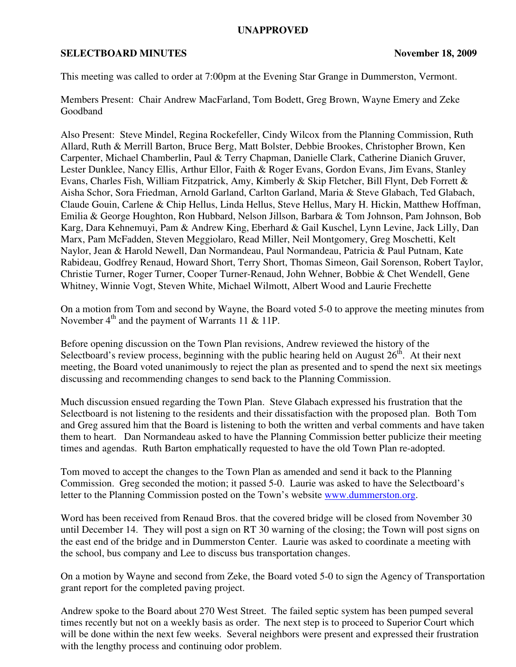## **UNAPPROVED**

## **SELECTBOARD MINUTES** November 18, 2009

This meeting was called to order at 7:00pm at the Evening Star Grange in Dummerston, Vermont.

Members Present: Chair Andrew MacFarland, Tom Bodett, Greg Brown, Wayne Emery and Zeke Goodband

Also Present: Steve Mindel, Regina Rockefeller, Cindy Wilcox from the Planning Commission, Ruth Allard, Ruth & Merrill Barton, Bruce Berg, Matt Bolster, Debbie Brookes, Christopher Brown, Ken Carpenter, Michael Chamberlin, Paul & Terry Chapman, Danielle Clark, Catherine Dianich Gruver, Lester Dunklee, Nancy Ellis, Arthur Ellor, Faith & Roger Evans, Gordon Evans, Jim Evans, Stanley Evans, Charles Fish, William Fitzpatrick, Amy, Kimberly & Skip Fletcher, Bill Flynt, Deb Forrett & Aisha Schor, Sora Friedman, Arnold Garland, Carlton Garland, Maria & Steve Glabach, Ted Glabach, Claude Gouin, Carlene & Chip Hellus, Linda Hellus, Steve Hellus, Mary H. Hickin, Matthew Hoffman, Emilia & George Houghton, Ron Hubbard, Nelson Jillson, Barbara & Tom Johnson, Pam Johnson, Bob Karg, Dara Kehnemuyi, Pam & Andrew King, Eberhard & Gail Kuschel, Lynn Levine, Jack Lilly, Dan Marx, Pam McFadden, Steven Meggiolaro, Read Miller, Neil Montgomery, Greg Moschetti, Kelt Naylor, Jean & Harold Newell, Dan Normandeau, Paul Normandeau, Patricia & Paul Putnam, Kate Rabideau, Godfrey Renaud, Howard Short, Terry Short, Thomas Simeon, Gail Sorenson, Robert Taylor, Christie Turner, Roger Turner, Cooper Turner-Renaud, John Wehner, Bobbie & Chet Wendell, Gene Whitney, Winnie Vogt, Steven White, Michael Wilmott, Albert Wood and Laurie Frechette

On a motion from Tom and second by Wayne, the Board voted 5-0 to approve the meeting minutes from November  $4<sup>th</sup>$  and the payment of Warrants 11 & 11P.

Before opening discussion on the Town Plan revisions, Andrew reviewed the history of the Selectboard's review process, beginning with the public hearing held on August  $26<sup>th</sup>$ . At their next meeting, the Board voted unanimously to reject the plan as presented and to spend the next six meetings discussing and recommending changes to send back to the Planning Commission.

Much discussion ensued regarding the Town Plan. Steve Glabach expressed his frustration that the Selectboard is not listening to the residents and their dissatisfaction with the proposed plan. Both Tom and Greg assured him that the Board is listening to both the written and verbal comments and have taken them to heart. Dan Normandeau asked to have the Planning Commission better publicize their meeting times and agendas. Ruth Barton emphatically requested to have the old Town Plan re-adopted.

Tom moved to accept the changes to the Town Plan as amended and send it back to the Planning Commission. Greg seconded the motion; it passed 5-0. Laurie was asked to have the Selectboard's letter to the Planning Commission posted on the Town's website www.dummerston.org.

Word has been received from Renaud Bros. that the covered bridge will be closed from November 30 until December 14. They will post a sign on RT 30 warning of the closing; the Town will post signs on the east end of the bridge and in Dummerston Center. Laurie was asked to coordinate a meeting with the school, bus company and Lee to discuss bus transportation changes.

On a motion by Wayne and second from Zeke, the Board voted 5-0 to sign the Agency of Transportation grant report for the completed paving project.

Andrew spoke to the Board about 270 West Street. The failed septic system has been pumped several times recently but not on a weekly basis as order. The next step is to proceed to Superior Court which will be done within the next few weeks. Several neighbors were present and expressed their frustration with the lengthy process and continuing odor problem.